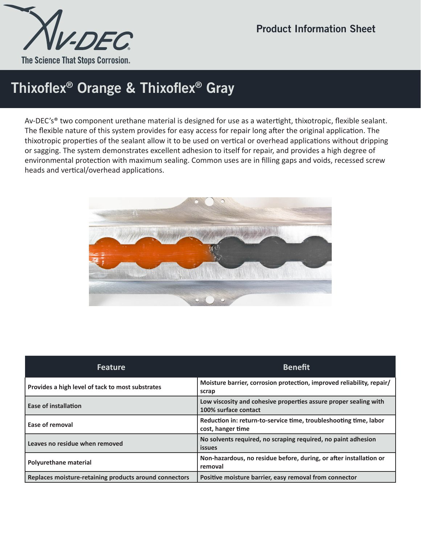

## Thixoflex® Orange & Thixoflex® Gray

Av-DEC's® two component urethane material is designed for use as a watertight, thixotropic, flexible sealant. The flexible nature of this system provides for easy access for repair long after the original application. The thixotropic properties of the sealant allow it to be used on vertical or overhead applications without dripping or sagging. The system demonstrates excellent adhesion to itself for repair, and provides a high degree of environmental protection with maximum sealing. Common uses are in filling gaps and voids, recessed screw heads and vertical/overhead applications.



| <b>Feature</b>                                         | <b>Benefit</b>                                                                           |  |
|--------------------------------------------------------|------------------------------------------------------------------------------------------|--|
| Provides a high level of tack to most substrates       | Moisture barrier, corrosion protection, improved reliability, repair/<br>scrap           |  |
| <b>Ease of installation</b>                            | Low viscosity and cohesive properties assure proper sealing with<br>100% surface contact |  |
| Ease of removal                                        | Reduction in: return-to-service time, troubleshooting time, labor<br>cost, hanger time   |  |
| Leaves no residue when removed                         | No solvents required, no scraping required, no paint adhesion<br><b>issues</b>           |  |
| Polyurethane material                                  | Non-hazardous, no residue before, during, or after installation or<br>removal            |  |
| Replaces moisture-retaining products around connectors | Positive moisture barrier, easy removal from connector                                   |  |